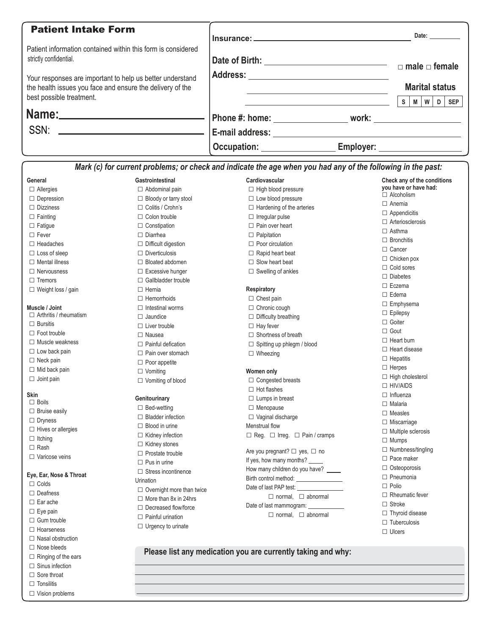| <b>Patient Intake Form</b>                                                                                                                         |                                                                                  |           | Date: __________                                         |
|----------------------------------------------------------------------------------------------------------------------------------------------------|----------------------------------------------------------------------------------|-----------|----------------------------------------------------------|
| Patient information contained within this form is considered<br>strictly confidential.                                                             | Date of Birth: ________________________________                                  |           | $\Box$ male $\Box$ female                                |
| Your responses are important to help us better understand<br>the health issues you face and ensure the delivery of the<br>best possible treatment. |                                                                                  |           | <b>Marital status</b><br>D<br>S.<br><b>SEP</b><br>M<br>w |
|                                                                                                                                                    | Phone #: home: ________________________ work: __________________________________ |           |                                                          |
|                                                                                                                                                    |                                                                                  |           |                                                          |
|                                                                                                                                                    | Occupation: <b>Example 2019</b>                                                  | Employer: |                                                          |

|                               |                                                 | Mark (c) for current problems; or check and indicate the age when you had any of the following in the past: |                             |
|-------------------------------|-------------------------------------------------|-------------------------------------------------------------------------------------------------------------|-----------------------------|
| General                       | Gastrointestinal                                | Cardiovascular                                                                                              | Check any of the conditions |
| $\Box$ Allergies              | $\Box$ Abdominal pain                           | $\Box$ High blood pressure                                                                                  | you have or have had:       |
| $\Box$ Depression             | $\Box$ Bloody or tarry stool                    | $\Box$ Low blood pressure                                                                                   | $\Box$ Alcoholism           |
| $\Box$ Dizziness              | □ Colitis / Crohn's                             | $\Box$ Hardening of the arteries                                                                            | $\Box$ Anemia               |
| $\Box$ Fainting               | $\Box$ Colon trouble                            | $\Box$ Irregular pulse                                                                                      | $\Box$ Appendicitis         |
| $\Box$ Fatigue                | $\Box$ Constipation                             | $\Box$ Pain over heart                                                                                      | $\Box$ Arteriosclerosis     |
| $\Box$ Fever                  | $\Box$ Diarrhea                                 | $\Box$ Palpitation                                                                                          | $\Box$ Asthma               |
| $\Box$ Headaches              | $\Box$ Difficult digestion                      | $\Box$ Poor circulation                                                                                     | $\Box$ Bronchitis           |
| $\Box$ Loss of sleep          | $\Box$ Diverticulosis                           | $\Box$ Rapid heart beat                                                                                     | $\Box$ Cancer               |
| $\Box$ Mental illness         | $\Box$ Bloated abdomen                          | $\Box$ Slow heart beat                                                                                      | $\Box$ Chicken pox          |
| $\Box$ Nervousness            | $\Box$ Excessive hunger                         | $\Box$ Swelling of ankles                                                                                   | $\Box$ Cold sores           |
| $\Box$ Tremors                | $\Box$ Gallbladder trouble                      |                                                                                                             | $\Box$ Diabetes             |
| $\Box$ Weight loss / gain     | $\Box$ Hernia                                   | Respiratory                                                                                                 | $\Box$ Eczema               |
|                               | $\Box$ Hemorrhoids                              | $\Box$ Chest pain                                                                                           | $\Box$ Edema                |
| Muscle / Joint                | $\Box$ Intestinal worms                         | $\Box$ Chronic cough                                                                                        | $\Box$ Emphysema            |
| $\Box$ Arthritis / rheumatism | $\Box$ Jaundice                                 | $\Box$ Difficulty breathing                                                                                 | $\Box$ Epilepsy             |
| $\Box$ Bursitis               | $\Box$ Liver trouble                            | $\Box$ Hay fever                                                                                            | $\Box$ Goiter               |
| $\Box$ Foot trouble           | $\Box$ Nausea                                   | $\Box$ Shortness of breath                                                                                  | $\Box$ Gout                 |
| $\Box$ Muscle weakness        | $\Box$ Painful defication                       | $\Box$ Spitting up phlegm / blood                                                                           | $\Box$ Heart burn           |
| $\Box$ Low back pain          | $\Box$ Pain over stomach                        | $\Box$ Wheezing                                                                                             | $\Box$ Heart disease        |
| $\Box$ Neck pain              | $\Box$ Poor appetite                            |                                                                                                             | $\Box$ Hepatitis            |
| $\Box$ Mid back pain          | $\Box$ Vomiting                                 | Women only                                                                                                  | $\Box$ Herpes               |
| $\Box$ Joint pain             | $\Box$ Vomiting of blood                        | $\Box$ Congested breasts                                                                                    | $\Box$ High cholesterol     |
|                               |                                                 | $\Box$ Hot flashes                                                                                          | $\Box$ HIV/AIDS             |
| Skin                          | Genitourinary                                   | $\Box$ Lumps in breast                                                                                      | $\Box$ Influenza            |
| $\Box$ Boils                  | $\Box$ Bed-wetting                              | $\Box$ Menopause                                                                                            | $\Box$ Malaria              |
| $\Box$ Bruise easily          | $\Box$ Bladder infection                        | $\Box$ Vaginal discharge                                                                                    | $\Box$ Measles              |
| $\Box$ Dryness                | $\Box$ Blood in urine                           | Menstrual flow                                                                                              | $\Box$ Miscarriage          |
| $\Box$ Hives or allergies     |                                                 |                                                                                                             | $\Box$ Multiple sclerosis   |
| $\Box$ Itching                | $\Box$ Kidney infection<br>$\Box$ Kidney stones | $\Box$ Reg. $\Box$ Irreg. $\Box$ Pain / cramps                                                              | $\Box$ Mumps                |
| $\Box$ Rash                   | $\Box$ Prostate trouble                         | Are you pregnant? □ yes, □ no                                                                               | $\Box$ Numbness/tingling    |
| $\Box$ Varicose veins         | $\Box$ Pus in urine                             | If yes, how many months?                                                                                    | $\Box$ Pace maker           |
|                               | $\Box$ Stress incontinence                      | How many children do you have? _____                                                                        | $\Box$ Osteoporosis         |
| Eye, Ear, Nose & Throat       |                                                 | Birth control method:                                                                                       | $\Box$ Pneumonia            |
| $\Box$ Colds                  | Urination                                       | Date of last PAP test:                                                                                      | $\Box$ Polio                |
| $\Box$ Deafness               | $\Box$ Overnight more than twice                | $\Box$ normal, $\Box$ abnormal                                                                              | $\Box$ Rheumatic fever      |
| $\Box$ Ear ache               | $\Box$ More than 8x in 24hrs                    | Date of last mammogram:                                                                                     | $\Box$ Stroke               |
| $\Box$ Eye pain               | $\Box$ Decreased flow/force                     | $\Box$ normal, $\Box$ abnormal                                                                              | $\Box$ Thyroid disease      |
| $\Box$ Gum trouble            | $\Box$ Painful urination                        |                                                                                                             | $\Box$ Tuberculosis         |
| $\Box$ Hoarseness             | $\Box$ Urgency to urinate                       |                                                                                                             | $\Box$ Ulcers               |
| $\Box$ Nasal obstruction      |                                                 |                                                                                                             |                             |
| $\Box$ Nose bleeds            |                                                 | Please list any medication you are currently taking and why:                                                |                             |
| $\Box$ Ringing of the ears    |                                                 |                                                                                                             |                             |
| $\Box$ Sinus infection        |                                                 |                                                                                                             |                             |

□ Sore throat □ Tonsilitis □ Vision problems